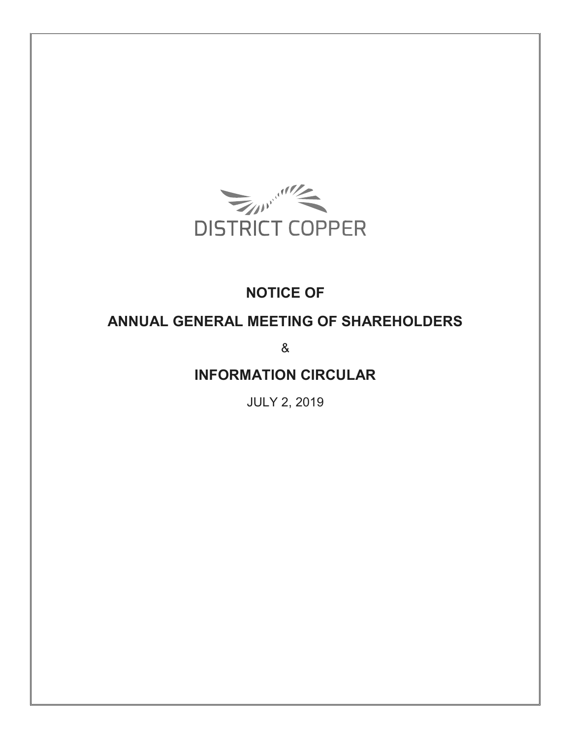

# **NOTICE OF**

# **ANNUAL GENERAL MEETING OF SHAREHOLDERS**

&

**INFORMATION CIRCULAR** 

JULY 2, 2019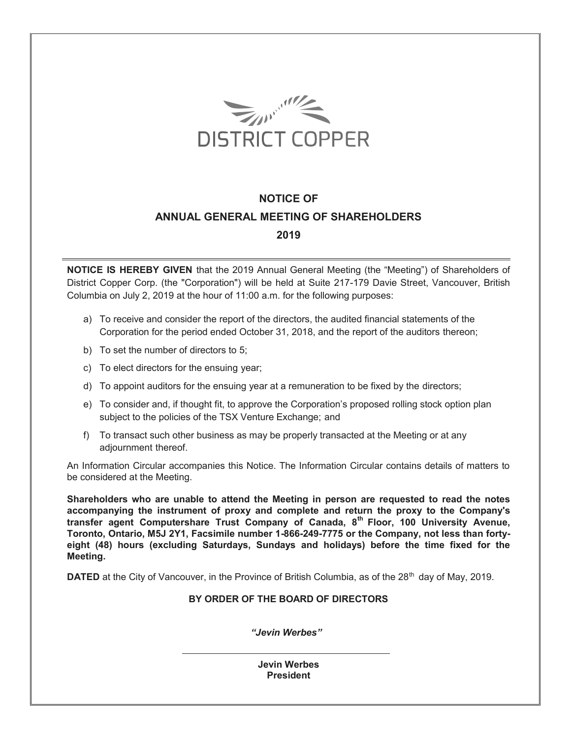

# **NOTICE OF ANNUAL GENERAL MEETING OF SHAREHOLDERS 2019**

**NOTICE IS HEREBY GIVEN** that the 2019 Annual General Meeting (the "Meeting") of Shareholders of District Copper Corp. (the "Corporation") will be held at Suite 217-179 Davie Street, Vancouver, British Columbia on July 2, 2019 at the hour of 11:00 a.m. for the following purposes:

- a) To receive and consider the report of the directors, the audited financial statements of the Corporation for the period ended October 31, 2018, and the report of the auditors thereon;
- b) To set the number of directors to 5;
- c) To elect directors for the ensuing year;
- d) To appoint auditors for the ensuing year at a remuneration to be fixed by the directors;
- e) To consider and, if thought fit, to approve the Corporation's proposed rolling stock option plan subject to the policies of the TSX Venture Exchange; and
- f) To transact such other business as may be properly transacted at the Meeting or at any adjournment thereof.

An Information Circular accompanies this Notice. The Information Circular contains details of matters to be considered at the Meeting.

**Shareholders who are unable to attend the Meeting in person are requested to read the notes accompanying the instrument of proxy and complete and return the proxy to the Company's transfer agent Computershare Trust Company of Canada, 8th Floor, 100 University Avenue, Toronto, Ontario, M5J 2Y1, Facsimile number 1-866-249-7775 or the Company, not less than fortyeight (48) hours (excluding Saturdays, Sundays and holidays) before the time fixed for the Meeting.** 

**DATED** at the City of Vancouver, in the Province of British Columbia, as of the 28<sup>th</sup> day of May, 2019.

## **BY ORDER OF THE BOARD OF DIRECTORS**

*"Jevin Werbes"*

**Jevin Werbes President**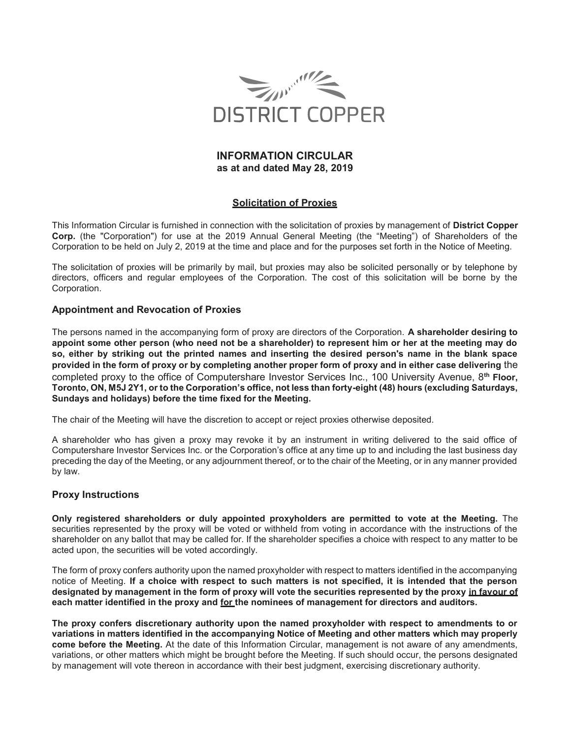

# **INFORMATION CIRCULAR as at and dated May 28, 2019**

# **Solicitation of Proxies**

This Information Circular is furnished in connection with the solicitation of proxies by management of **District Copper Corp.** (the "Corporation") for use at the 2019 Annual General Meeting (the "Meeting") of Shareholders of the Corporation to be held on July 2, 2019 at the time and place and for the purposes set forth in the Notice of Meeting.

The solicitation of proxies will be primarily by mail, but proxies may also be solicited personally or by telephone by directors, officers and regular employees of the Corporation. The cost of this solicitation will be borne by the Corporation.

# **Appointment and Revocation of Proxies**

The persons named in the accompanying form of proxy are directors of the Corporation. **A shareholder desiring to appoint some other person (who need not be a shareholder) to represent him or her at the meeting may do so, either by striking out the printed names and inserting the desired person's name in the blank space provided in the form of proxy or by completing another proper form of proxy and in either case delivering** the completed proxy to the office of Computershare Investor Services Inc., 100 University Avenue, 8**th Floor,**  Toronto, ON, M5J 2Y1, or to the Corporation's office, not less than forty-eight (48) hours (excluding Saturdays, **Sundays and holidays) before the time fixed for the Meeting.** 

The chair of the Meeting will have the discretion to accept or reject proxies otherwise deposited.

A shareholder who has given a proxy may revoke it by an instrument in writing delivered to the said office of Computershare Investor Services Inc. or the Corporation's office at any time up to and including the last business day preceding the day of the Meeting, or any adjournment thereof, or to the chair of the Meeting, or in any manner provided by law.

# **Proxy Instructions**

**Only registered shareholders or duly appointed proxyholders are permitted to vote at the Meeting.** The securities represented by the proxy will be voted or withheld from voting in accordance with the instructions of the shareholder on any ballot that may be called for. If the shareholder specifies a choice with respect to any matter to be acted upon, the securities will be voted accordingly.

The form of proxy confers authority upon the named proxyholder with respect to matters identified in the accompanying notice of Meeting. **If a choice with respect to such matters is not specified, it is intended that the person designated by management in the form of proxy will vote the securities represented by the proxy in favour of each matter identified in the proxy and for the nominees of management for directors and auditors.** 

**The proxy confers discretionary authority upon the named proxyholder with respect to amendments to or variations in matters identified in the accompanying Notice of Meeting and other matters which may properly come before the Meeting.** At the date of this Information Circular, management is not aware of any amendments, variations, or other matters which might be brought before the Meeting. If such should occur, the persons designated by management will vote thereon in accordance with their best judgment, exercising discretionary authority.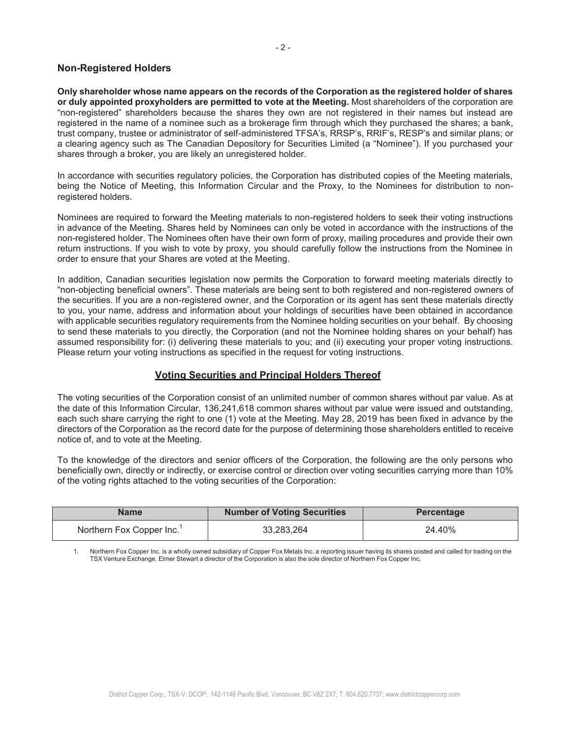## **Non-Registered Holders**

**Only shareholder whose name appears on the records of the Corporation as the registered holder of shares or duly appointed proxyholders are permitted to vote at the Meeting.** Most shareholders of the corporation are "non-registered" shareholders because the shares they own are not registered in their names but instead are registered in the name of a nominee such as a brokerage firm through which they purchased the shares; a bank, trust company, trustee or administrator of self-administered TFSA's, RRSP's, RRIF's, RESP's and similar plans; or a clearing agency such as The Canadian Depository for Securities Limited (a "Nominee"). If you purchased your shares through a broker, you are likely an unregistered holder.

In accordance with securities regulatory policies, the Corporation has distributed copies of the Meeting materials, being the Notice of Meeting, this Information Circular and the Proxy, to the Nominees for distribution to nonregistered holders.

Nominees are required to forward the Meeting materials to non-registered holders to seek their voting instructions in advance of the Meeting. Shares held by Nominees can only be voted in accordance with the instructions of the non-registered holder. The Nominees often have their own form of proxy, mailing procedures and provide their own return instructions. If you wish to vote by proxy, you should carefully follow the instructions from the Nominee in order to ensure that your Shares are voted at the Meeting.

In addition, Canadian securities legislation now permits the Corporation to forward meeting materials directly to "non-objecting beneficial owners". These materials are being sent to both registered and non-registered owners of the securities. If you are a non-registered owner, and the Corporation or its agent has sent these materials directly to you, your name, address and information about your holdings of securities have been obtained in accordance with applicable securities regulatory requirements from the Nominee holding securities on your behalf. By choosing to send these materials to you directly, the Corporation (and not the Nominee holding shares on your behalf) has assumed responsibility for: (i) delivering these materials to you; and (ii) executing your proper voting instructions. Please return your voting instructions as specified in the request for voting instructions.

#### **Voting Securities and Principal Holders Thereof**

The voting securities of the Corporation consist of an unlimited number of common shares without par value. As at the date of this Information Circular, 136,241,618 common shares without par value were issued and outstanding, each such share carrying the right to one (1) vote at the Meeting. May 28, 2019 has been fixed in advance by the directors of the Corporation as the record date for the purpose of determining those shareholders entitled to receive notice of, and to vote at the Meeting.

To the knowledge of the directors and senior officers of the Corporation, the following are the only persons who beneficially own, directly or indirectly, or exercise control or direction over voting securities carrying more than 10% of the voting rights attached to the voting securities of the Corporation:

| Name                                  | <b>Number of Voting Securities</b> | <b>Percentage</b> |  |
|---------------------------------------|------------------------------------|-------------------|--|
| Northern Fox Copper Inc. <sup>1</sup> | 33.283.264                         | 24.40%            |  |

Northern Fox Copper Inc. is a wholly owned subsidiary of Copper Fox Metals Inc. a reporting issuer having its shares posted and called for trading on the TSX Venture Exchange. Elmer Stewart a director of the Corporation is also the sole director of Northern Fox Copper Inc.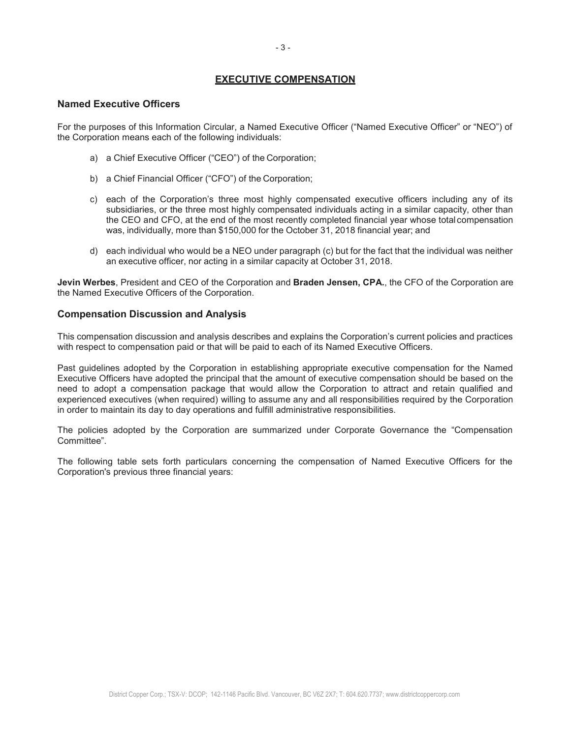# **EXECUTIVE COMPENSATION**

## **Named Executive Officers**

For the purposes of this Information Circular, a Named Executive Officer ("Named Executive Officer" or "NEO") of the Corporation means each of the following individuals:

- a) a Chief Executive Officer ("CEO") of the Corporation;
- b) a Chief Financial Officer ("CFO") of the Corporation;
- c) each of the Corporation's three most highly compensated executive officers including any of its subsidiaries, or the three most highly compensated individuals acting in a similar capacity, other than the CEO and CFO, at the end of the most recently completed financial year whose total compensation was, individually, more than \$150,000 for the October 31, 2018 financial year; and
- d) each individual who would be a NEO under paragraph (c) but for the fact that the individual was neither an executive officer, nor acting in a similar capacity at October 31, 2018.

**Jevin Werbes**, President and CEO of the Corporation and **Braden Jensen, CPA.**, the CFO of the Corporation are the Named Executive Officers of the Corporation.

## **Compensation Discussion and Analysis**

This compensation discussion and analysis describes and explains the Corporation's current policies and practices with respect to compensation paid or that will be paid to each of its Named Executive Officers.

Past guidelines adopted by the Corporation in establishing appropriate executive compensation for the Named Executive Officers have adopted the principal that the amount of executive compensation should be based on the need to adopt a compensation package that would allow the Corporation to attract and retain qualified and experienced executives (when required) willing to assume any and all responsibilities required by the Corporation in order to maintain its day to day operations and fulfill administrative responsibilities.

The policies adopted by the Corporation are summarized under Corporate Governance the "Compensation" Committee".

The following table sets forth particulars concerning the compensation of Named Executive Officers for the Corporation's previous three financial years: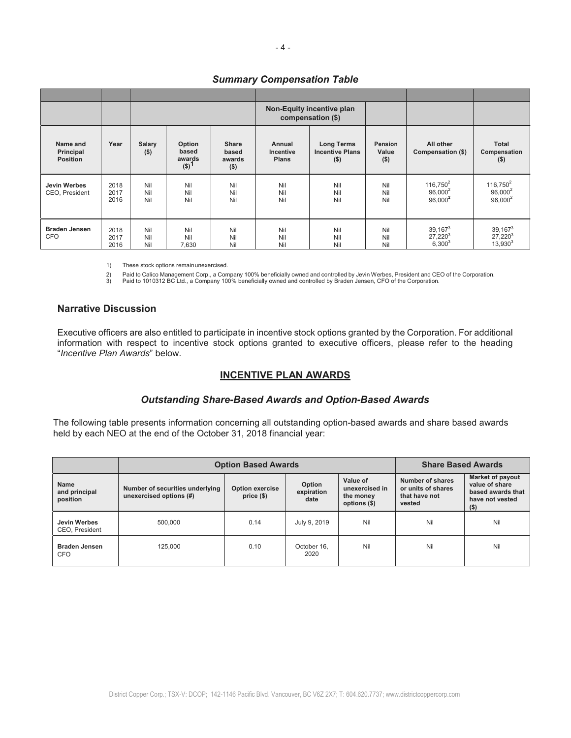|                                          |                      |                   |                                                   | Non-Equity incentive plan<br>compensation (\$) |                                     |                                                        |                             |                                         |                                         |
|------------------------------------------|----------------------|-------------------|---------------------------------------------------|------------------------------------------------|-------------------------------------|--------------------------------------------------------|-----------------------------|-----------------------------------------|-----------------------------------------|
| Name and<br>Principal<br><b>Position</b> | Year                 | Salary<br>$($ \$) | Option<br>based<br>awards<br>$($ \$) <sup>1</sup> | <b>Share</b><br>based<br>awards<br>$($ \$)     | Annual<br>Incentive<br><b>Plans</b> | <b>Long Terms</b><br><b>Incentive Plans</b><br>$($ \$) | Pension<br>Value<br>$($ \$) | All other<br>Compensation (\$)          | <b>Total</b><br>Compensation<br>$($ \$) |
| Jevin Werbes<br>CEO, President           | 2018<br>2017<br>2016 | Nil<br>Nil<br>Nil | Nil<br>Nil<br>Nil                                 | Nil<br>Nil<br>Nil                              | Nil<br>Nil<br>Nil                   | Nil<br>Nil<br>Nil                                      | Nil<br>Nil<br>Nil           | $116,750^2$<br>$96.000^2$<br>$96,000^2$ | $116,750^2$<br>$96.000^2$<br>$96,000^2$ |
| <b>Braden Jensen</b><br><b>CFO</b>       | 2018<br>2017<br>2016 | Nil<br>Nil<br>Nil | Nil<br>Nil<br>7,630                               | Nil<br>Nil<br>Nil                              | Nil<br>Nil<br>Nil                   | Nil<br>Nil<br>Nil                                      | Nil<br>Nil<br>Nil           | $39,167^3$<br>$27,220^3$<br>$6,300^{3}$ | 39, 1673<br>$27,220^3$<br>$13,930^3$    |

## *Summary Compensation Table*

1) These stock options remain unexercised.

2) Paid to Calico Management Corp., a Company 100% beneficially owned and controlled by Jevin Werbes, President and CEO of the Corporation.<br>3) Paid to 1010312 BC Ltd., a Company 100% beneficially owned and controlled by Br

# **Narrative Discussion**

Executive officers are also entitled to participate in incentive stock options granted by the Corporation. For additional information with respect to incentive stock options granted to executive officers, please refer to the heading *"Incentive Plan Awards"* below.

## **INCENTIVE PLAN AWARDS**

## *Outstanding Share-Based Awards and Option-Based Awards*

The following table presents information concerning all outstanding option-based awards and share based awards held by each NEO at the end of the October 31, 2018 financial year:

|                                          | <b>Option Based Awards</b>                                 | <b>Share Based Awards</b>    |                              |                                                         |                                                                   |                                                                                              |
|------------------------------------------|------------------------------------------------------------|------------------------------|------------------------------|---------------------------------------------------------|-------------------------------------------------------------------|----------------------------------------------------------------------------------------------|
| <b>Name</b><br>and principal<br>position | Number of securities underlying<br>unexercised options (#) | Option exercise<br>price(\$) | Option<br>expiration<br>date | Value of<br>unexercised in<br>the money<br>options (\$) | Number of shares<br>or units of shares<br>that have not<br>vested | <b>Market of payout</b><br>value of share<br>based awards that<br>have not vested<br>$($ \$) |
| Jevin Werbes<br>CEO. President           | 500.000                                                    | 0.14                         | July 9, 2019                 | Nil                                                     | Nil                                                               | Nil                                                                                          |
| <b>Braden Jensen</b><br><b>CFO</b>       | 125.000                                                    | 0.10                         | October 16.<br>2020          | Nil                                                     | Nil                                                               | Nil                                                                                          |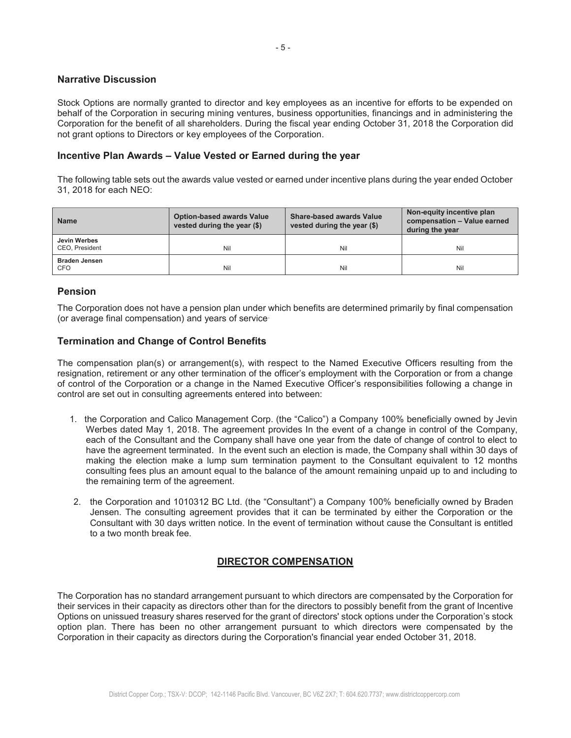# **Narrative Discussion**

Stock Options are normally granted to director and key employees as an incentive for efforts to be expended on behalf of the Corporation in securing mining ventures, business opportunities, financings and in administering the Corporation for the benefit of all shareholders. During the fiscal year ending October 31, 2018 the Corporation did not grant options to Directors or key employees of the Corporation.

# **Incentive Plan Awards ± Value Vested or Earned during the year**

The following table sets out the awards value vested or earned under incentive plans during the year ended October 31, 2018 for each NEO:

| <b>Name</b>                    | <b>Option-based awards Value</b><br>vested during the year (\$) | <b>Share-based awards Value</b><br>vested during the year (\$) | Non-equity incentive plan<br>compensation - Value earned<br>during the year |
|--------------------------------|-----------------------------------------------------------------|----------------------------------------------------------------|-----------------------------------------------------------------------------|
| Jevin Werbes<br>CEO, President | Nil                                                             | Nil                                                            | Nil                                                                         |
| <b>Braden Jensen</b><br>CFO    | Nil                                                             | Nil                                                            | Nil                                                                         |

# **Pension**

The Corporation does not have a pension plan under which benefits are determined primarily by final compensation (or average final compensation) and years of service.

# **Termination and Change of Control Benefits**

The compensation plan(s) or arrangement(s), with respect to the Named Executive Officers resulting from the resignation, retirement or any other termination of the officer's employment with the Corporation or from a change of control of the Corporation or a change in the Named Executive Officer's responsibilities following a change in control are set out in consulting agreements entered into between:

- 1. the Corporation and Calico Management Corp. (the "Calico") a Company 100% beneficially owned by Jevin Werbes dated May 1, 2018. The agreement provides In the event of a change in control of the Company, each of the Consultant and the Company shall have one year from the date of change of control to elect to have the agreement terminated. In the event such an election is made, the Company shall within 30 days of making the election make a lump sum termination payment to the Consultant equivalent to 12 months consulting fees plus an amount equal to the balance of the amount remaining unpaid up to and including to the remaining term of the agreement.
- 2. the Corporation and 1010312 BC Ltd. (the "Consultant") a Company 100% beneficially owned by Braden Jensen. The consulting agreement provides that it can be terminated by either the Corporation or the Consultant with 30 days written notice. In the event of termination without cause the Consultant is entitled to a two month break fee.

# **DIRECTOR COMPENSATION**

The Corporation has no standard arrangement pursuant to which directors are compensated by the Corporation for their services in their capacity as directors other than for the directors to possibly benefit from the grant of Incentive Options on unissued treasury shares reserved for the grant of directors' stock options under the Corporation's stock option plan. There has been no other arrangement pursuant to which directors were compensated by the Corporation in their capacity as directors during the Corporation's financial year ended October 31, 2018.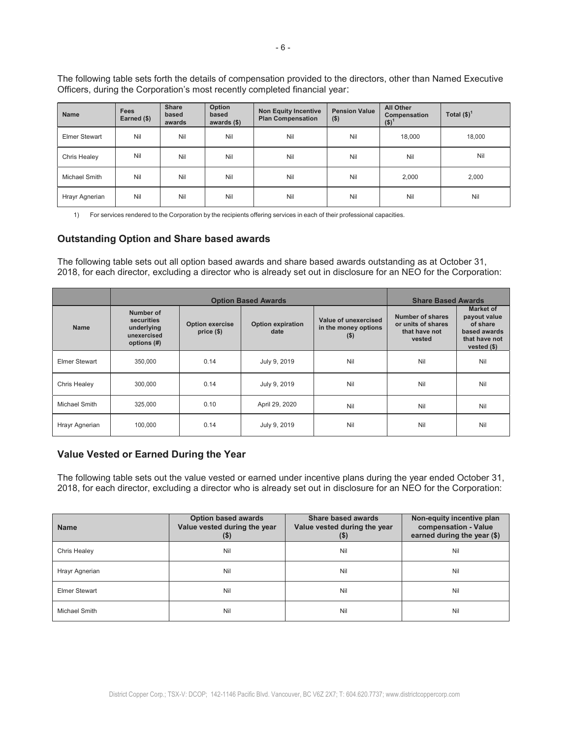The following table sets forth the details of compensation provided to the directors, other than Named Executive Officers, during the Corporation's most recently completed financial year:

| <b>Name</b>    | <b>Fees</b><br>Earned (\$) | <b>Share</b><br>based<br>awards | Option<br>based<br>awards $($ \$) | <b>Non Equity Incentive</b><br><b>Plan Compensation</b> | <b>Pension Value</b><br>$($ \$) | All Other<br>Compensation<br>$($ \$) $)$ | Total $(\$)^1$ |
|----------------|----------------------------|---------------------------------|-----------------------------------|---------------------------------------------------------|---------------------------------|------------------------------------------|----------------|
| Elmer Stewart  | Nil                        | Nil                             | Nil                               | Nil                                                     | Nil                             | 18,000                                   | 18,000         |
| Chris Healey   | Nil                        | Nil                             | Nil                               | Nil                                                     | Nil                             | Nil                                      | Nil            |
| Michael Smith  | Nil                        | Nil                             | Nil                               | Nil                                                     | Nil                             | 2,000                                    | 2,000          |
| Hrayr Agnerian | Nil                        | Nil                             | Nil                               | Nil                                                     | Nil                             | Nil                                      | Nil            |

1) For services rendered to the Corporation by the recipients offering services in each of their professional capacities.

# **Outstanding Option and Share based awards**

The following table sets out all option based awards and share based awards outstanding as at October 31, 2018, for each director, excluding a director who is already set out in disclosure for an NEO for the Corporation:

|                      |                                                                     | <b>Option Based Awards</b>           | <b>Share Based Awards</b>        |                                                         |                                                                   |                                                                                        |
|----------------------|---------------------------------------------------------------------|--------------------------------------|----------------------------------|---------------------------------------------------------|-------------------------------------------------------------------|----------------------------------------------------------------------------------------|
| <b>Name</b>          | Number of<br>securities<br>underlying<br>unexercised<br>options (#) | <b>Option exercise</b><br>$price($)$ | <b>Option expiration</b><br>date | Value of unexercised<br>in the money options<br>$($ \$) | Number of shares<br>or units of shares<br>that have not<br>vested | Market of<br>payout value<br>of share<br>based awards<br>that have not<br>vested $($)$ |
| <b>Elmer Stewart</b> | 350.000                                                             | 0.14                                 | July 9, 2019                     | Nil                                                     | Nil                                                               | Nil                                                                                    |
| Chris Healey         | 300,000                                                             | 0.14                                 | July 9, 2019                     | Nil                                                     | Nil                                                               | Nil                                                                                    |
| Michael Smith        | 325,000                                                             | 0.10                                 | April 29, 2020                   | Nil                                                     | Nil                                                               | Nil                                                                                    |
| Hrayr Agnerian       | 100,000                                                             | 0.14                                 | July 9, 2019                     | Nil                                                     | Nil                                                               | Nil                                                                                    |

## **Value Vested or Earned During the Year**

The following table sets out the value vested or earned under incentive plans during the year ended October 31, 2018, for each director, excluding a director who is already set out in disclosure for an NEO for the Corporation:

| <b>Name</b>    | <b>Option based awards</b><br>Value vested during the year<br>$(\$)$ | <b>Share based awards</b><br>Value vested during the year<br>$($ \$ | Non-equity incentive plan<br>compensation - Value<br>earned during the year (\$) |
|----------------|----------------------------------------------------------------------|---------------------------------------------------------------------|----------------------------------------------------------------------------------|
| Chris Healey   | Nil                                                                  | Nil                                                                 | Nil                                                                              |
| Hrayr Agnerian | Nil                                                                  | Nil                                                                 | Nil                                                                              |
| Elmer Stewart  | Nil                                                                  | Nil                                                                 | Nil                                                                              |
| Michael Smith  | Nil                                                                  | Nil                                                                 | Nil                                                                              |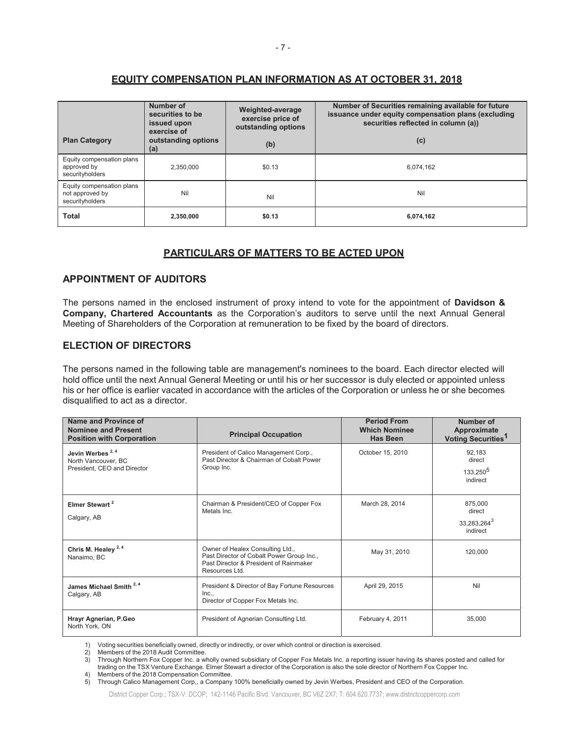# **EQUITY COMPENSATION PLAN INFORMATION AS AT OCTOBER 31, 2018**

| <b>Plan Category</b>                                            | Number of<br>securities to be<br>issued upon<br>exercise of<br>outstanding options<br>(a) | Weighted-average<br>exercise price of<br>outstanding options<br>(b) | Number of Securities remaining available for future<br>issuance under equity compensation plans (excluding<br>securities reflected in column (a))<br>(c) |
|-----------------------------------------------------------------|-------------------------------------------------------------------------------------------|---------------------------------------------------------------------|----------------------------------------------------------------------------------------------------------------------------------------------------------|
| Equity compensation plans<br>approved by<br>securityholders     | 2.350.000                                                                                 | \$0.13                                                              | 6,074,162                                                                                                                                                |
| Equity compensation plans<br>not approved by<br>securityholders | Nil                                                                                       | Nil                                                                 | Nil                                                                                                                                                      |
| Total                                                           | 2,350,000                                                                                 | \$0.13                                                              | 6,074,162                                                                                                                                                |

## **PARTICULARS OF MATTERS TO BE ACTED UPON**

# **APPOINTMENT OF AUDITORS**

The persons named in the enclosed instrument of proxy intend to vote for the appointment of **Davidson & Company, Chartered Accountants** as the Corporation's auditors to serve until the next Annual General Meeting of Shareholders of the Corporation at remuneration to be fixed by the board of directors.

# **ELECTION OF DIRECTORS**

The persons named in the following table are management's nominees to the board. Each director elected will hold office until the next Annual General Meeting or until his or her successor is duly elected or appointed unless his or her office is earlier vacated in accordance with the articles of the Corporation or unless he or she becomes disqualified to act as a director.

| Name and Province of<br><b>Nominee and Present</b><br><b>Position with Corporation</b> | <b>Principal Occupation</b>                                                                                                               | <b>Period From</b><br><b>Which Nominee</b><br><b>Has Been</b> | Number of<br>Approximate<br>Voting Securities <sup>1</sup> |
|----------------------------------------------------------------------------------------|-------------------------------------------------------------------------------------------------------------------------------------------|---------------------------------------------------------------|------------------------------------------------------------|
| Jevin Werbes <sup>2,4</sup><br>North Vancouver, BC<br>President, CEO and Director      | President of Calico Management Corp.,<br>Past Director & Chairman of Cobalt Power<br>Group Inc.                                           | October 15, 2010                                              | 92,183<br>direct<br>133,250 <sup>5</sup><br>indirect       |
| Elmer Stewart <sup>2</sup><br>Calgary, AB                                              | Chairman & President/CEO of Copper Fox<br>Metals Inc.                                                                                     | March 28, 2014                                                | 875,000<br>direct<br>33,283,264 <sup>3</sup><br>indirect   |
| Chris M. Healey <sup>2,4</sup><br>Nanaimo, BC                                          | Owner of Healex Consulting Ltd.,<br>Past Director of Cobalt Power Group Inc.,<br>Past Director & President of Rainmaker<br>Resources Ltd. | May 31, 2010                                                  | 120,000                                                    |
| James Michael Smith <sup>2,4</sup><br>Calgary, AB                                      | President & Director of Bay Fortune Resources<br>Inc<br>Director of Copper Fox Metals Inc.                                                | April 29, 2015                                                | Nil                                                        |
| Hrayr Agnerian, P.Geo<br>North York, ON                                                | President of Agnerian Consulting Ltd.                                                                                                     | February 4, 2011                                              | 35,000                                                     |

1) Voting securities beneficially owned, directly or indirectly, or over which control or direction is exercised.

2) Members of the 2018 Audit Committee.<br>3) Through Northern Fox Copper Inc. a wholly owned subsidiary of Copper Fox Metals Inc. a reporting issuer having its shares posted and called for

trading on the TSX Venture Exchange. Elmer Stewart a director of the Corporation is also the sole director of Northern Fox Copper Inc. 4) Members of the 2018 Compensation Committee.

5) Through Calico Management Corp,, a Company 100% beneficially owned by Jevin Werbes, President and CEO of the Corporation.

District Copper Corp.; TSX-V: DCOP; 142-1146 Pacific Blvd. Vancouver, BC V6Z 2X7; T: 604.620.7737; www.districtcoppercorp.com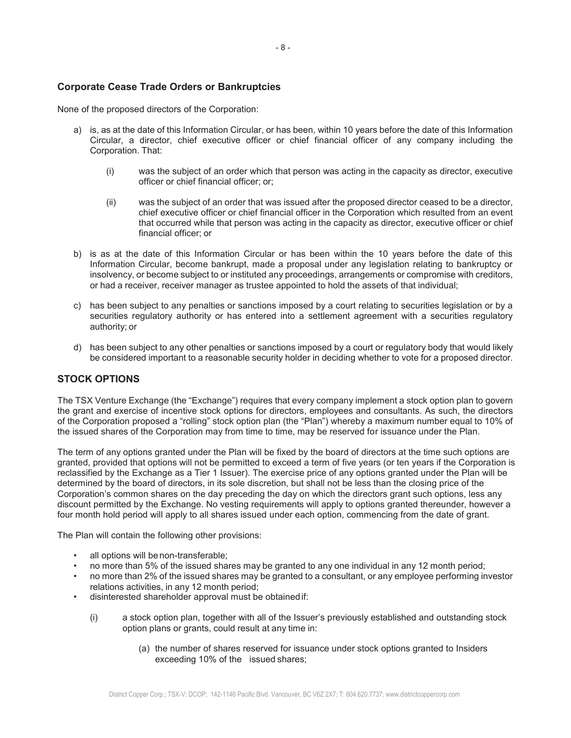# **Corporate Cease Trade Orders or Bankruptcies**

None of the proposed directors of the Corporation:

- a) is, as at the date of this Information Circular, or has been, within 10 years before the date of this Information Circular, a director, chief executive officer or chief financial officer of any company including the Corporation. That:
	- (i) was the subject of an order which that person was acting in the capacity as director, executive officer or chief financial officer; or;
	- (ii) was the subject of an order that was issued after the proposed director ceased to be a director, chief executive officer or chief financial officer in the Corporation which resulted from an event that occurred while that person was acting in the capacity as director, executive officer or chief financial officer; or
- b) is as at the date of this Information Circular or has been within the 10 years before the date of this Information Circular, become bankrupt, made a proposal under any legislation relating to bankruptcy or insolvency, or become subject to or instituted any proceedings, arrangements or compromise with creditors, or had a receiver, receiver manager as trustee appointed to hold the assets of that individual;
- c) has been subject to any penalties or sanctions imposed by a court relating to securities legislation or by a securities regulatory authority or has entered into a settlement agreement with a securities regulatory authority; or
- d) has been subject to any other penalties or sanctions imposed by a court or regulatory body that would likely be considered important to a reasonable security holder in deciding whether to vote for a proposed director.

# **STOCK OPTIONS**

The TSX Venture Exchange (the "Exchange") requires that every company implement a stock option plan to govern the grant and exercise of incentive stock options for directors, employees and consultants. As such, the directors of the Corporation proposed a "rolling" stock option plan (the "Plan") whereby a maximum number equal to 10% of the issued shares of the Corporation may from time to time, may be reserved for issuance under the Plan.

The term of any options granted under the Plan will be fixed by the board of directors at the time such options are granted, provided that options will not be permitted to exceed a term of five years (or ten years if the Corporation is reclassified by the Exchange as a Tier 1 Issuer). The exercise price of any options granted under the Plan will be determined by the board of directors, in its sole discretion, but shall not be less than the closing price of the Corporation's common shares on the day preceding the day on which the directors grant such options, less any discount permitted by the Exchange. No vesting requirements will apply to options granted thereunder, however a four month hold period will apply to all shares issued under each option, commencing from the date of grant.

The Plan will contain the following other provisions:

- all options will be non-transferable;
- no more than 5% of the issued shares may be granted to any one individual in any 12 month period;
- no more than 2% of the issued shares may be granted to a consultant, or any employee performing investor relations activities, in any 12 month period;
- disinterested shareholder approval must be obtained if:
	- $(i)$  a stock option plan, together with all of the Issuer's previously established and outstanding stock option plans or grants, could result at any time in:
		- (a) the number of shares reserved for issuance under stock options granted to Insiders exceeding 10% of the issued shares;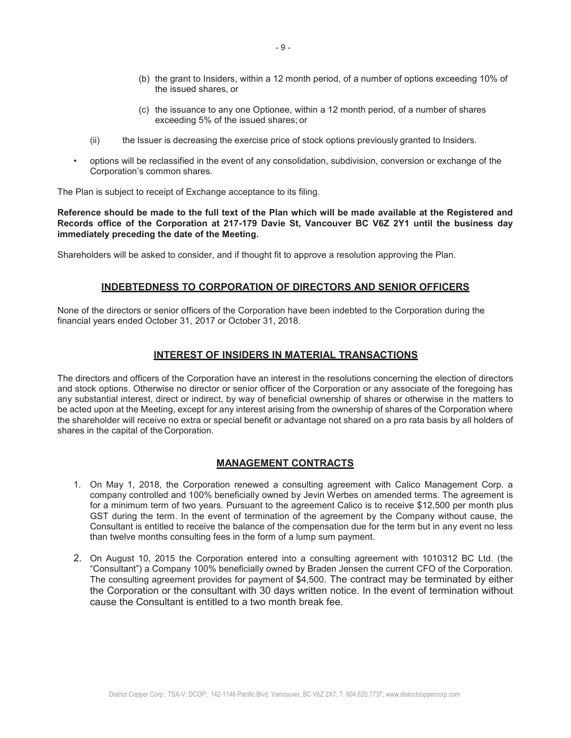- (b) the grant to Insiders, within a 12 month period, of a number of options exceeding 10% of the issued shares, or
- (c) the issuance to any one Optionee, within a 12 month period, of a number of shares exceeding 5% of the issued shares; or
- (ii) the Issuer is decreasing the exercise price of stock options previously granted to Insiders.
- options will be reclassified in the event of any consolidation, subdivision, conversion or exchange of the Corporation's common shares.

The Plan is subject to receipt of Exchange acceptance to its filing.

**Reference should be made to the full text of the Plan which will be made available at the Registered and Records office of the Corporation at 217-179 Davie St, Vancouver BC V6Z 2Y1 until the business day immediately preceding the date of the Meeting.** 

Shareholders will be asked to consider, and if thought fit to approve a resolution approving the Plan.

# **INDEBTEDNESS TO CORPORATION OF DIRECTORS AND SENIOR OFFICERS**

None of the directors or senior officers of the Corporation have been indebted to the Corporation during the financial years ended October 31, 2017 or October 31, 2018.

# **INTEREST OF INSIDERS IN MATERIAL TRANSACTIONS**

The directors and officers of the Corporation have an interest in the resolutions concerning the election of directors and stock options. Otherwise no director or senior officer of the Corporation or any associate of the foregoing has any substantial interest, direct or indirect, by way of beneficial ownership of shares or otherwise in the matters to be acted upon at the Meeting, except for any interest arising from the ownership of shares of the Corporation where the shareholder will receive no extra or special benefit or advantage not shared on a pro rata basis by all holders of shares in the capital of the Corporation.

## **MANAGEMENT CONTRACTS**

- 1. On May 1, 2018, the Corporation renewed a consulting agreement with Calico Management Corp. a company controlled and 100% beneficially owned by Jevin Werbes on amended terms. The agreement is for a minimum term of two years. Pursuant to the agreement Calico is to receive \$12,500 per month plus GST during the term. In the event of termination of the agreement by the Company without cause, the Consultant is entitled to receive the balance of the compensation due for the term but in any event no less than twelve months consulting fees in the form of a lump sum payment.
- 2. On August 10, 2015 the Corporation entered into a consulting agreement with 1010312 BC Ltd. (the "Consultant") a Company 100% beneficially owned by Braden Jensen the current CFO of the Corporation. The consulting agreement provides for payment of \$4,500. The contract may be terminated by either the Corporation or the consultant with 30 days written notice. In the event of termination without cause the Consultant is entitled to a two month break fee.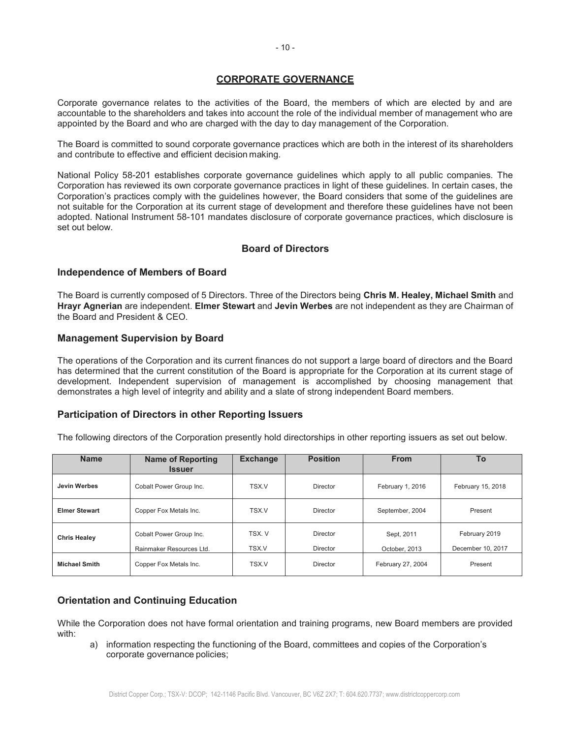# **CORPORATE GOVERNANCE**

Corporate governance relates to the activities of the Board, the members of which are elected by and are accountable to the shareholders and takes into account the role of the individual member of management who are appointed by the Board and who are charged with the day to day management of the Corporation.

The Board is committed to sound corporate governance practices which are both in the interest of its shareholders and contribute to effective and efficient decision making.

National Policy 58-201 establishes corporate governance guidelines which apply to all public companies. The Corporation has reviewed its own corporate governance practices in light of these guidelines. In certain cases, the Corporation's practices comply with the guidelines however, the Board considers that some of the guidelines are not suitable for the Corporation at its current stage of development and therefore these guidelines have not been adopted. National Instrument 58-101 mandates disclosure of corporate governance practices, which disclosure is set out below.

# **Board of Directors**

# **Independence of Members of Board**

The Board is currently composed of 5 Directors. Three of the Directors being **Chris M. Healey, Michael Smith** and **Hrayr Agnerian** are independent. **Elmer Stewart** and **Jevin Werbes** are not independent as they are Chairman of the Board and President & CEO.

# **Management Supervision by Board**

The operations of the Corporation and its current finances do not support a large board of directors and the Board has determined that the current constitution of the Board is appropriate for the Corporation at its current stage of development. Independent supervision of management is accomplished by choosing management that demonstrates a high level of integrity and ability and a slate of strong independent Board members.

# **Participation of Directors in other Reporting Issuers**

The following directors of the Corporation presently hold directorships in other reporting issuers as set out below.

| <b>Name</b>          | <b>Name of Reporting</b><br><b>Issuer</b>           | <b>Exchange</b> | <b>Position</b>      | <b>From</b>                 | To                                 |
|----------------------|-----------------------------------------------------|-----------------|----------------------|-----------------------------|------------------------------------|
| <b>Jevin Werbes</b>  | Cobalt Power Group Inc.                             | TSX.V           | Director             | February 1, 2016            | February 15, 2018                  |
| <b>Elmer Stewart</b> | Copper Fox Metals Inc.                              | TSX.V           | Director             | September, 2004             | Present                            |
| <b>Chris Healey</b>  | Cobalt Power Group Inc.<br>Rainmaker Resources Ltd. | TSX. V<br>TSX.V | Director<br>Director | Sept, 2011<br>October, 2013 | February 2019<br>December 10, 2017 |
| <b>Michael Smith</b> | Copper Fox Metals Inc.                              | TSX.V           | Director             | February 27, 2004           | Present                            |

# **Orientation and Continuing Education**

While the Corporation does not have formal orientation and training programs, new Board members are provided with:

a) information respecting the functioning of the Board, committees and copies of the Corporation's corporate governance policies;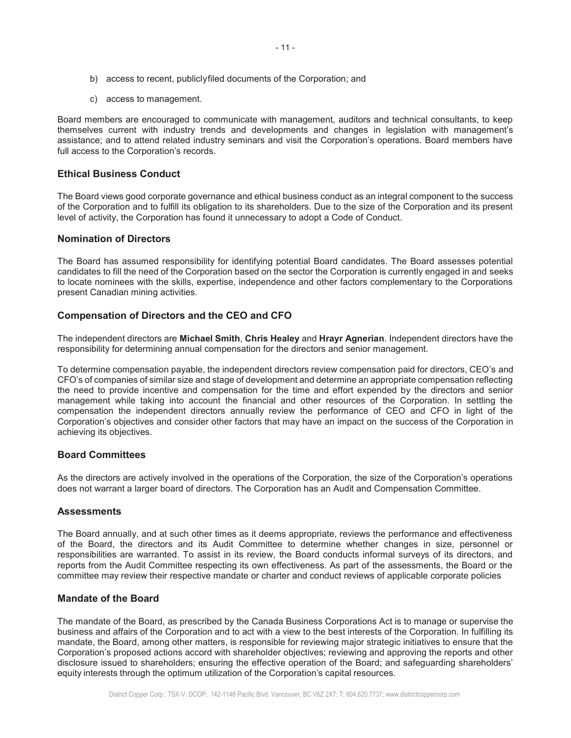- b) access to recent, publicly filed documents of the Corporation; and
- c) access to management.

Board members are encouraged to communicate with management, auditors and technical consultants, to keep themselves current with industry trends and developments and changes in legislation with management's assistance; and to attend related industry seminars and visit the Corporation's operations. Board members have full access to the Corporation's records.

## **Ethical Business Conduct**

The Board views good corporate governance and ethical business conduct as an integral component to the success of the Corporation and to fulfill its obligation to its shareholders. Due to the size of the Corporation and its present level of activity, the Corporation has found it unnecessary to adopt a Code of Conduct.

#### **Nomination of Directors**

The Board has assumed responsibility for identifying potential Board candidates. The Board assesses potential candidates to fill the need of the Corporation based on the sector the Corporation is currently engaged in and seeks to locate nominees with the skills, expertise, independence and other factors complementary to the Corporations present Canadian mining activities.

## **Compensation of Directors and the CEO and CFO**

The independent directors are **Michael Smith**, **Chris Healey** and **Hrayr Agnerian**. Independent directors have the responsibility for determining annual compensation for the directors and senior management.

To determine compensation payable, the independent directors review compensation paid for directors, CEO's and CFO's of companies of similar size and stage of development and determine an appropriate compensation reflecting the need to provide incentive and compensation for the time and effort expended by the directors and senior management while taking into account the financial and other resources of the Corporation. In settling the compensation the independent directors annually review the performance of CEO and CFO in light of the Corporation's objectives and consider other factors that may have an impact on the success of the Corporation in achieving its objectives.

#### **Board Committees**

As the directors are actively involved in the operations of the Corporation, the size of the Corporation's operations does not warrant a larger board of directors. The Corporation has an Audit and Compensation Committee.

## **Assessments**

The Board annually, and at such other times as it deems appropriate, reviews the performance and effectiveness of the Board, the directors and its Audit Committee to determine whether changes in size, personnel or responsibilities are warranted. To assist in its review, the Board conducts informal surveys of its directors, and reports from the Audit Committee respecting its own effectiveness. As part of the assessments, the Board or the committee may review their respective mandate or charter and conduct reviews of applicable corporate policies

## **Mandate of the Board**

The mandate of the Board, as prescribed by the Canada Business Corporations Act is to manage or supervise the business and affairs of the Corporation and to act with a view to the best interests of the Corporation. In fulfilling its mandate, the Board, among other matters, is responsible for reviewing major strategic initiatives to ensure that the Corporation's proposed actions accord with shareholder objectives; reviewing and approving the reports and other disclosure issued to shareholders; ensuring the effective operation of the Board; and safeguarding shareholders' equity interests through the optimum utilization of the Corporation's capital resources.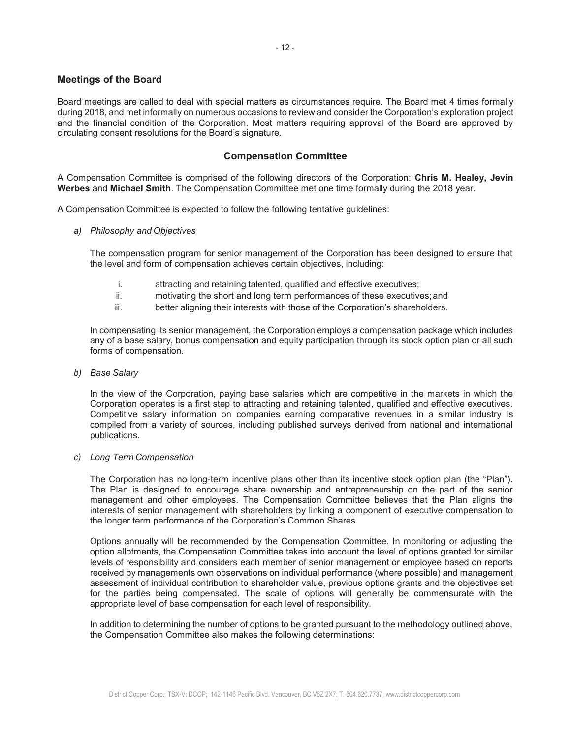# **Meetings of the Board**

Board meetings are called to deal with special matters as circumstances require. The Board met 4 times formally during 2018, and met informally on numerous occasions to review and consider the Corporation's exploration project and the financial condition of the Corporation. Most matters requiring approval of the Board are approved by circulating consent resolutions for the Board's signature.

## **Compensation Committee**

A Compensation Committee is comprised of the following directors of the Corporation: **Chris M. Healey, Jevin Werbes** and **Michael Smith**. The Compensation Committee met one time formally during the 2018 year.

A Compensation Committee is expected to follow the following tentative guidelines:

*a) Philosophy and Objectives* 

The compensation program for senior management of the Corporation has been designed to ensure that the level and form of compensation achieves certain objectives, including:

- i. attracting and retaining talented, qualified and effective executives;
- ii. motivating the short and long term performances of these executives; and
- iii. better aligning their interests with those of the Corporation's shareholders.

In compensating its senior management, the Corporation employs a compensation package which includes any of a base salary, bonus compensation and equity participation through its stock option plan or all such forms of compensation.

*b) Base Salary* 

In the view of the Corporation, paying base salaries which are competitive in the markets in which the Corporation operates is a first step to attracting and retaining talented, qualified and effective executives. Competitive salary information on companies earning comparative revenues in a similar industry is compiled from a variety of sources, including published surveys derived from national and international publications.

#### *c) Long Term Compensation*

The Corporation has no long-term incentive plans other than its incentive stock option plan (the "Plan"). The Plan is designed to encourage share ownership and entrepreneurship on the part of the senior management and other employees. The Compensation Committee believes that the Plan aligns the interests of senior management with shareholders by linking a component of executive compensation to the longer term performance of the Corporation's Common Shares.

Options annually will be recommended by the Compensation Committee. In monitoring or adjusting the option allotments, the Compensation Committee takes into account the level of options granted for similar levels of responsibility and considers each member of senior management or employee based on reports received by managements own observations on individual performance (where possible) and management assessment of individual contribution to shareholder value, previous options grants and the objectives set for the parties being compensated. The scale of options will generally be commensurate with the appropriate level of base compensation for each level of responsibility.

In addition to determining the number of options to be granted pursuant to the methodology outlined above, the Compensation Committee also makes the following determinations: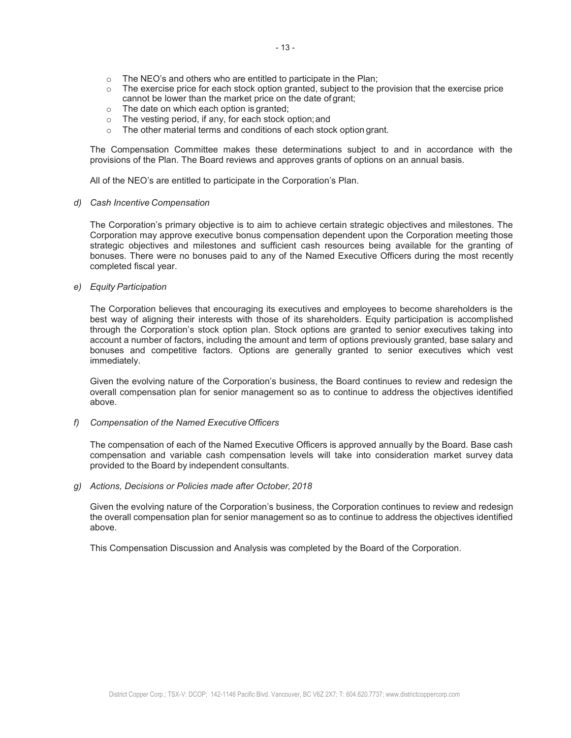- $\circ$  The NEO's and others who are entitled to participate in the Plan;
- $\circ$  The exercise price for each stock option granted, subject to the provision that the exercise price cannot be lower than the market price on the date of grant;
- o The date on which each option is granted;
- o The vesting period, if any, for each stock option; and
- o The other material terms and conditions of each stock option grant.

The Compensation Committee makes these determinations subject to and in accordance with the provisions of the Plan. The Board reviews and approves grants of options on an annual basis.

All of the NEO's are entitled to participate in the Corporation's Plan.

#### *d) Cash Incentive Compensation*

The Corporation's primary objective is to aim to achieve certain strategic objectives and milestones. The Corporation may approve executive bonus compensation dependent upon the Corporation meeting those strategic objectives and milestones and sufficient cash resources being available for the granting of bonuses. There were no bonuses paid to any of the Named Executive Officers during the most recently completed fiscal year.

#### *e) Equity Participation*

The Corporation believes that encouraging its executives and employees to become shareholders is the best way of aligning their interests with those of its shareholders. Equity participation is accomplished through the Corporation's stock option plan. Stock options are granted to senior executives taking into account a number of factors, including the amount and term of options previously granted, base salary and bonuses and competitive factors. Options are generally granted to senior executives which vest immediately.

Given the evolving nature of the Corporation's business, the Board continues to review and redesign the overall compensation plan for senior management so as to continue to address the objectives identified above.

#### *f) Compensation of the Named Executive Officers*

The compensation of each of the Named Executive Officers is approved annually by the Board. Base cash compensation and variable cash compensation levels will take into consideration market survey data provided to the Board by independent consultants.

*g) Actions, Decisions or Policies made after October, 2018* 

Given the evolving nature of the Corporation's business, the Corporation continues to review and redesign the overall compensation plan for senior management so as to continue to address the objectives identified above.

This Compensation Discussion and Analysis was completed by the Board of the Corporation.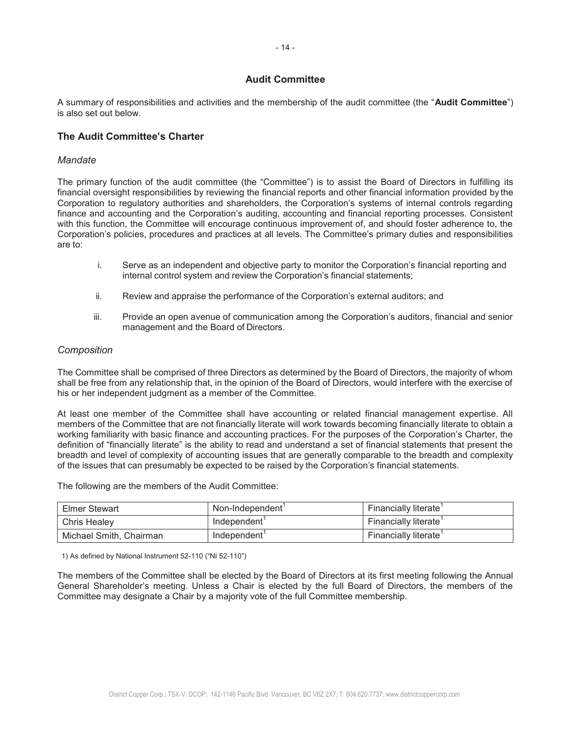# **Audit Committee**

A summary of responsibilities and activities and the membership of the audit committee (the "Audit Committee") is also set out below.

## **The Audit Committee's Charter**

## *Mandate*

The primary function of the audit committee (the "Committee") is to assist the Board of Directors in fulfilling its financial oversight responsibilities by reviewing the financial reports and other financial information provided by the Corporation to regulatory authorities and shareholders, the Corporation's systems of internal controls regarding finance and accounting and the Corporation's auditing, accounting and financial reporting processes. Consistent with this function, the Committee will encourage continuous improvement of, and should foster adherence to, the Corporation's policies, procedures and practices at all levels. The Committee's primary duties and responsibilities are to:

- i. Serve as an independent and objective party to monitor the Corporation's financial reporting and internal control system and review the Corporation's financial statements;
- ii. Review and appraise the performance of the Corporation's external auditors; and
- iii. 3DR Provide an open avenue of communication among the Corporation's auditors, financial and senior management and the Board of Directors.

#### *Composition*

The Committee shall be comprised of three Directors as determined by the Board of Directors, the majority of whom shall be free from any relationship that, in the opinion of the Board of Directors, would interfere with the exercise of his or her independent judgment as a member of the Committee.

At least one member of the Committee shall have accounting or related financial management expertise. All members of the Committee that are not financially literate will work towards becoming financially literate to obtain a working familiarity with basic finance and accounting practices. For the purposes of the Corporation's Charter, the definition of "financially literate" is the ability to read and understand a set of financial statements that present the breadth and level of complexity of accounting issues that are generally comparable to the breadth and complexity of the issues that can presumably be expected to be raised by the Corporation's financial statements.

The following are the members of the Audit Committee:

| <b>Elmer Stewart</b>    | Non-Independent | Financially literate |  |
|-------------------------|-----------------|----------------------|--|
| Chris Healev            | Independent'    | Financially literate |  |
| Michael Smith, Chairman | Independent'    | Financially literate |  |

1) As defined by National Instrument 52-110 ("NI 52-110")

The members of the Committee shall be elected by the Board of Directors at its first meeting following the Annual General Shareholder's meeting. Unless a Chair is elected by the full Board of Directors, the members of the Committee may designate a Chair by a majority vote of the full Committee membership.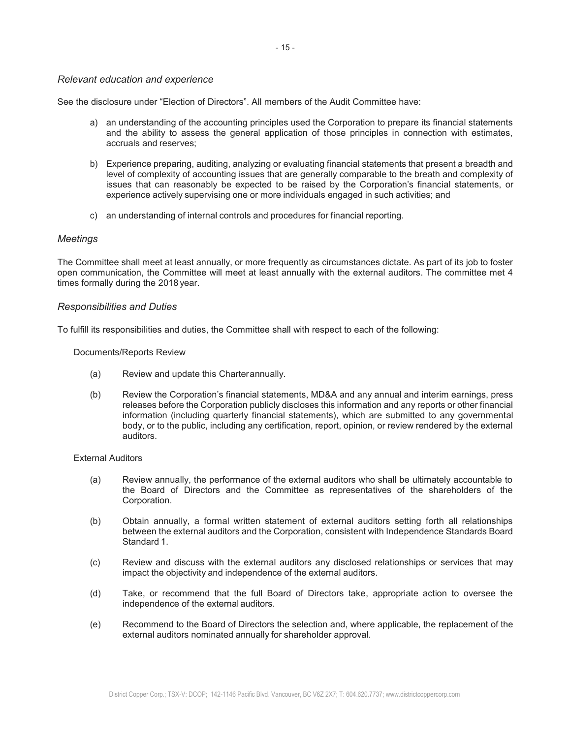#### *Relevant education and experience*

See the disclosure under "Flection of Directors" All members of the Audit Committee have:

- a) an understanding of the accounting principles used the Corporation to prepare its financial statements and the ability to assess the general application of those principles in connection with estimates, accruals and reserves;
- b) Experience preparing, auditing, analyzing or evaluating financial statements that present a breadth and level of complexity of accounting issues that are generally comparable to the breath and complexity of issues that can reasonably be expected to be raised by the Corporation's financial statements, or experience actively supervising one or more individuals engaged in such activities; and
- c) an understanding of internal controls and procedures for financial reporting.

#### *Meetings*

The Committee shall meet at least annually, or more frequently as circumstances dictate. As part of its job to foster open communication, the Committee will meet at least annually with the external auditors. The committee met 4 times formally during the 2018 year.

#### *Responsibilities and Duties*

To fulfill its responsibilities and duties, the Committee shall with respect to each of the following:

#### Documents/Reports Review

- (a) Review and update this Charter annually.
- (b) Review the Corporation's financial statements, MD&A and any annual and interim earnings, press releases before the Corporation publicly discloses this information and any reports or other financial information (including quarterly financial statements), which are submitted to any governmental body, or to the public, including any certification, report, opinion, or review rendered by the external auditors.

#### External Auditors

- (a) Review annually, the performance of the external auditors who shall be ultimately accountable to the Board of Directors and the Committee as representatives of the shareholders of the Corporation.
- (b) Obtain annually, a formal written statement of external auditors setting forth all relationships between the external auditors and the Corporation, consistent with Independence Standards Board Standard 1.
- (c) Review and discuss with the external auditors any disclosed relationships or services that may impact the objectivity and independence of the external auditors.
- (d) Take, or recommend that the full Board of Directors take, appropriate action to oversee the independence of the external auditors.
- (e) Recommend to the Board of Directors the selection and, where applicable, the replacement of the external auditors nominated annually for shareholder approval.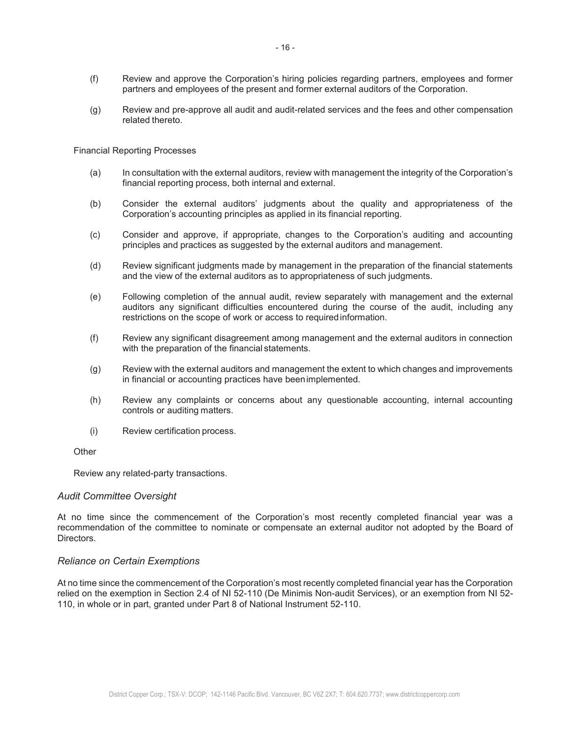- (f) Feview and approve the Corporation's hiring policies regarding partners, employees and former partners and employees of the present and former external auditors of the Corporation.
- (g) Review and pre-approve all audit and audit-related services and the fees and other compensation related thereto.

#### Financial Reporting Processes

- (a) ln consultation with the external auditors, review with management the integrity of the Corporation's financial reporting process, both internal and external.
- (b) Consider the external auditors' judgments about the quality and appropriateness of the Corporation's accounting principles as applied in its financial reporting.
- (c) Consider and approve, if appropriate, changes to the Corporation's auditing and accounting principles and practices as suggested by the external auditors and management.
- (d) Review significant judgments made by management in the preparation of the financial statements and the view of the external auditors as to appropriateness of such judgments.
- (e) Following completion of the annual audit, review separately with management and the external auditors any significant difficulties encountered during the course of the audit, including any restrictions on the scope of work or access to required information.
- (f) Review any significant disagreement among management and the external auditors in connection with the preparation of the financial statements.
- (g) Review with the external auditors and management the extent to which changes and improvements in financial or accounting practices have been implemented.
- (h) Review any complaints or concerns about any questionable accounting, internal accounting controls or auditing matters.
- (i) Review certification process.

**Other** 

Review any related-party transactions.

#### *Audit Committee Oversight*

At no time since the commencement of the Corporation's most recently completed financial year was a recommendation of the committee to nominate or compensate an external auditor not adopted by the Board of Directors.

#### *Reliance on Certain Exemptions*

At no time since the commencement of the Corporation's most recently completed financial year has the Corporation relied on the exemption in Section 2.4 of NI 52-110 (De Minimis Non-audit Services), or an exemption from NI 52- 110, in whole or in part, granted under Part 8 of National Instrument 52-110.